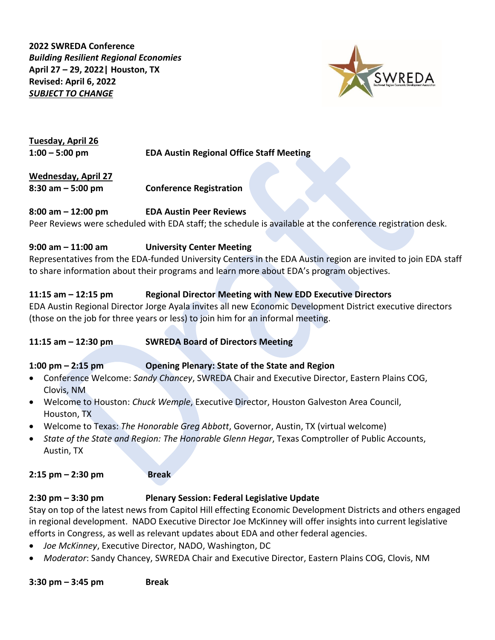**2022 SWREDA Conference**  *Building Resilient Regional Economies* **April 27 – 29, 2022| Houston, TX Revised: April 6, 2022** *SUBJECT TO CHANGE*



**Tuesday, April 26**

**1:00 – 5:00 pm EDA Austin Regional Office Staff Meeting**

**Wednesday, April 27 8:30 am – 5:00 pm Conference Registration**

#### **8:00 am – 12:00 pm EDA Austin Peer Reviews**

Peer Reviews were scheduled with EDA staff; the schedule is available at the conference registration desk.

#### **9:00 am – 11:00 am University Center Meeting**

Representatives from the EDA-funded University Centers in the EDA Austin region are invited to join EDA staff to share information about their programs and learn more about EDA's program objectives.

#### **11:15 am – 12:15 pm Regional Director Meeting with New EDD Executive Directors**

EDA Austin Regional Director Jorge Ayala invites all new Economic Development District executive directors (those on the job for three years or less) to join him for an informal meeting.

**11:15 am – 12:30 pm SWREDA Board of Directors Meeting**

#### **1:00 pm – 2:15 pm Opening Plenary: State of the State and Region**

- Conference Welcome: *Sandy Chancey*, SWREDA Chair and Executive Director, Eastern Plains COG, Clovis, NM
- Welcome to Houston: *Chuck Wemple*, Executive Director, Houston Galveston Area Council, Houston, TX
- Welcome to Texas: *The Honorable Greg Abbott*, Governor, Austin, TX (virtual welcome)
- *State of the State and Region: The Honorable Glenn Hegar*, Texas Comptroller of Public Accounts, Austin, TX

**2:15 pm – 2:30 pm Break**

#### **2:30 pm – 3:30 pm Plenary Session: Federal Legislative Update**

Stay on top of the latest news from Capitol Hill effecting Economic Development Districts and others engaged in regional development. NADO Executive Director Joe McKinney will offer insights into current legislative efforts in Congress, as well as relevant updates about EDA and other federal agencies.

- *Joe McKinney*, Executive Director, NADO, Washington, DC
- *Moderator*: Sandy Chancey, SWREDA Chair and Executive Director, Eastern Plains COG, Clovis, NM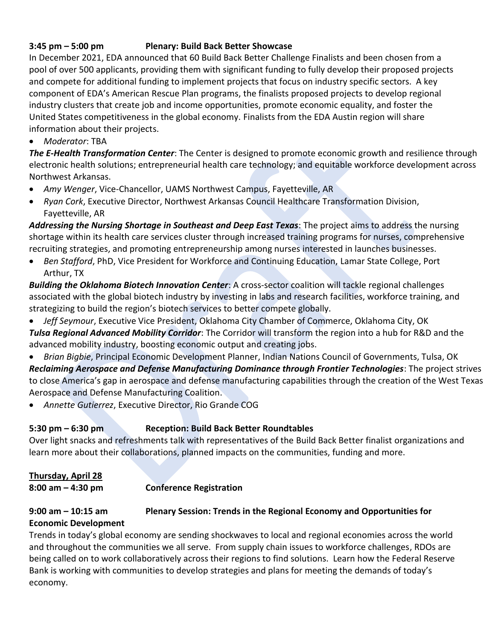#### **3:45 pm – 5:00 pm Plenary: Build Back Better Showcase**

In December 2021, EDA announced that 60 Build Back Better Challenge Finalists and been chosen from a pool of over 500 applicants, providing them with significant funding to fully develop their proposed projects and compete for additional funding to implement projects that focus on industry specific sectors. A key component of EDA's American Rescue Plan programs, the finalists proposed projects to develop regional industry clusters that create job and income opportunities, promote economic equality, and foster the United States competitiveness in the global economy. Finalists from the EDA Austin region will share information about their projects.

• *Moderator*: TBA

*The E-Health Transformation Center*: The Center is designed to promote economic growth and resilience through electronic health solutions; entrepreneurial health care technology; and equitable workforce development across Northwest Arkansas.

- *Amy Wenger*, Vice-Chancellor, UAMS Northwest Campus, Fayetteville, AR
- *Ryan Cork*, Executive Director, Northwest Arkansas Council Healthcare Transformation Division, Fayetteville, AR

*Addressing the Nursing Shortage in Southeast and Deep East Texas*: The project aims to address the nursing shortage within its health care services cluster through increased training programs for nurses, comprehensive recruiting strategies, and promoting entrepreneurship among nurses interested in launches businesses.

• *Ben Stafford*, PhD, Vice President for Workforce and Continuing Education, Lamar State College, Port Arthur, TX

*Building the Oklahoma Biotech Innovation Center*: A cross-sector coalition will tackle regional challenges associated with the global biotech industry by investing in labs and research facilities, workforce training, and strategizing to build the region's biotech services to better compete globally.

- *Jeff Seymour*, Executive Vice President, Oklahoma City Chamber of Commerce, Oklahoma City, OK *Tulsa Regional Advanced Mobility Corridor*: The Corridor will transform the region into a hub for R&D and the advanced mobility industry, boosting economic output and creating jobs.
- *Brian Bigbie*, Principal Economic Development Planner, Indian Nations Council of Governments, Tulsa, OK *Reclaiming Aerospace and Defense Manufacturing Dominance through Frontier Technologies*: The project strives to close America's gap in aerospace and defense manufacturing capabilities through the creation of the West Texas Aerospace and Defense Manufacturing Coalition.
- *Annette Gutierrez*, Executive Director, Rio Grande COG

## **5:30 pm – 6:30 pm Reception: Build Back Better Roundtables**

Over light snacks and refreshments talk with representatives of the Build Back Better finalist organizations and learn more about their collaborations, planned impacts on the communities, funding and more.

## **Thursday, April 28**

**8:00 am – 4:30 pm Conference Registration**

## **9:00 am – 10:15 am Plenary Session: Trends in the Regional Economy and Opportunities for Economic Development**

Trends in today's global economy are sending shockwaves to local and regional economies across the world and throughout the communities we all serve. From supply chain issues to workforce challenges, RDOs are being called on to work collaboratively across their regions to find solutions. Learn how the Federal Reserve Bank is working with communities to develop strategies and plans for meeting the demands of today's economy.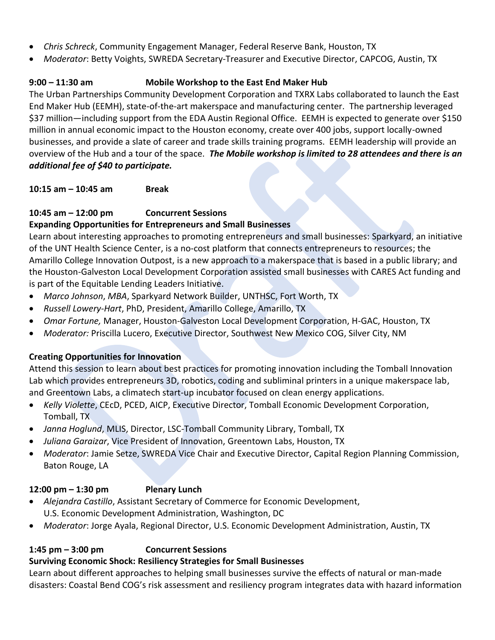- *Chris Schreck*, Community Engagement Manager, Federal Reserve Bank, Houston, TX
- *Moderator*: Betty Voights, SWREDA Secretary-Treasurer and Executive Director, CAPCOG, Austin, TX

## **9:00 – 11:30 am Mobile Workshop to the East End Maker Hub**

The Urban Partnerships Community Development Corporation and TXRX Labs collaborated to launch the East End Maker Hub (EEMH), state-of-the-art makerspace and manufacturing center. The partnership leveraged \$37 million—including support from the EDA Austin Regional Office. EEMH is expected to generate over \$150 million in annual economic impact to the Houston economy, create over 400 jobs, support locally-owned businesses, and provide a slate of career and trade skills training programs. EEMH leadership will provide an overview of the Hub and a tour of the space. *The Mobile workshop is limited to 28 attendees and there is an additional fee of \$40 to participate.*

**10:15 am – 10:45 am Break**

# **10:45 am – 12:00 pm Concurrent Sessions**

## **Expanding Opportunities for Entrepreneurs and Small Businesses**

Learn about interesting approaches to promoting entrepreneurs and small businesses: Sparkyard, an initiative of the UNT Health Science Center, is a no-cost platform that connects entrepreneurs to resources; the Amarillo College Innovation Outpost, is a new approach to a makerspace that is based in a public library; and the Houston-Galveston Local Development Corporation assisted small businesses with CARES Act funding and is part of the Equitable Lending Leaders Initiative.

- *Marco Johnson*, *MBA*, Sparkyard Network Builder, UNTHSC, Fort Worth, TX
- *Russell Lowery-Hart*, PhD, President, Amarillo College, Amarillo, TX
- *Omar Fortune,* Manager, Houston-Galveston Local Development Corporation, H-GAC, Houston, TX
- *Moderator:* Priscilla Lucero, Executive Director, Southwest New Mexico COG, Silver City, NM

## **Creating Opportunities for Innovation**

Attend this session to learn about best practices for promoting innovation including the Tomball Innovation Lab which provides entrepreneurs 3D, robotics, coding and subliminal printers in a unique makerspace lab, and Greentown Labs, a climatech start-up incubator focused on clean energy applications.

- *Kelly Violette*, CEcD, PCED, AICP, Executive Director, Tomball Economic Development Corporation, Tomball, TX
- *Janna Hoglund*, MLIS, Director, LSC-Tomball Community Library, Tomball, TX
- *Juliana Garaizar*, Vice President of Innovation, Greentown Labs, Houston, TX
- *Moderator*: Jamie Setze, SWREDA Vice Chair and Executive Director, Capital Region Planning Commission, Baton Rouge, LA

## **12:00 pm – 1:30 pm Plenary Lunch**

- *Alejandra Castillo*, Assistant Secretary of Commerce for Economic Development, U.S. Economic Development Administration, Washington, DC
- *Moderator*: Jorge Ayala, Regional Director, U.S. Economic Development Administration, Austin, TX

# **1:45 pm – 3:00 pm Concurrent Sessions**

## **Surviving Economic Shock: Resiliency Strategies for Small Businesses**

Learn about different approaches to helping small businesses survive the effects of natural or man-made disasters: Coastal Bend COG's risk assessment and resiliency program integrates data with hazard information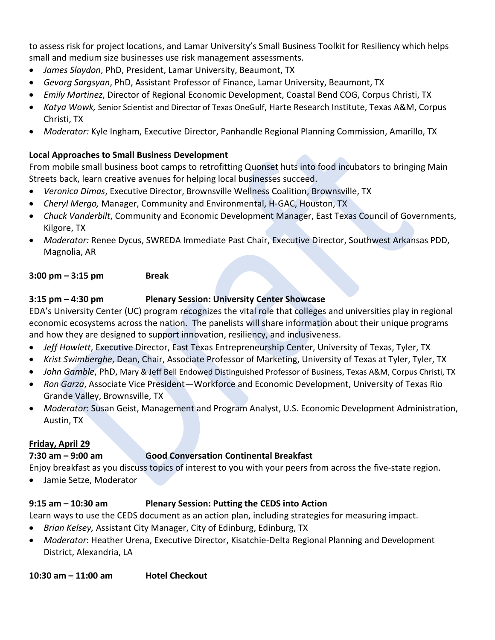to assess risk for project locations, and Lamar University's Small Business Toolkit for Resiliency which helps small and medium size businesses use risk management assessments.

- *James Slaydon*, PhD, President, Lamar University, Beaumont, TX
- *Gevorg Sargsyan*, PhD, Assistant Professor of Finance, Lamar University, Beaumont, TX
- *Emily Martinez*, Director of Regional Economic Development, Coastal Bend COG, Corpus Christi, TX
- *Katya Wowk,* Senior Scientist and Director of Texas OneGulf, Harte Research Institute, Texas A&M, Corpus Christi, TX
- *Moderator:* Kyle Ingham, Executive Director, Panhandle Regional Planning Commission, Amarillo, TX

#### **Local Approaches to Small Business Development**

From mobile small business boot camps to retrofitting Quonset huts into food incubators to bringing Main Streets back, learn creative avenues for helping local businesses succeed.

- *Veronica Dimas*, Executive Director, Brownsville Wellness Coalition, Brownsville, TX
- *Cheryl Mergo,* Manager, Community and Environmental, H-GAC, Houston, TX
- *Chuck Vanderbilt*, Community and Economic Development Manager, East Texas Council of Governments, Kilgore, TX
- *Moderator:* Renee Dycus, SWREDA Immediate Past Chair, Executive Director, Southwest Arkansas PDD, Magnolia, AR

#### **3:00 pm – 3:15 pm Break**

#### **3:15 pm – 4:30 pm Plenary Session: University Center Showcase**

EDA's University Center (UC) program recognizes the vital role that colleges and universities play in regional economic ecosystems across the nation. The panelists will share information about their unique programs and how they are designed to support innovation, resiliency, and inclusiveness.

- *Jeff Howlett*, Executive Director, East Texas Entrepreneurship Center, University of Texas, Tyler, TX
- *Krist Swimberghe*, Dean, Chair, Associate Professor of Marketing, University of Texas at Tyler, Tyler, TX
- *John Gamble*, PhD, Mary & Jeff Bell Endowed Distinguished Professor of Business, Texas A&M, Corpus Christi, TX
- *Ron Garza*, Associate Vice President—Workforce and Economic Development, University of Texas Rio Grande Valley, Brownsville, TX
- *Moderator*: Susan Geist, Management and Program Analyst, U.S. Economic Development Administration, Austin, TX

## **Friday, April 29**

## **7:30 am – 9:00 am Good Conversation Continental Breakfast**

Enjoy breakfast as you discuss topics of interest to you with your peers from across the five-state region.

• Jamie Setze, Moderator

# **9:15 am – 10:30 am Plenary Session: Putting the CEDS into Action**

Learn ways to use the CEDS document as an action plan, including strategies for measuring impact.

- *Brian Kelsey,* Assistant City Manager, City of Edinburg, Edinburg, TX
- *Moderator*: Heather Urena, Executive Director, Kisatchie-Delta Regional Planning and Development District, Alexandria, LA

**10:30 am – 11:00 am Hotel Checkout**